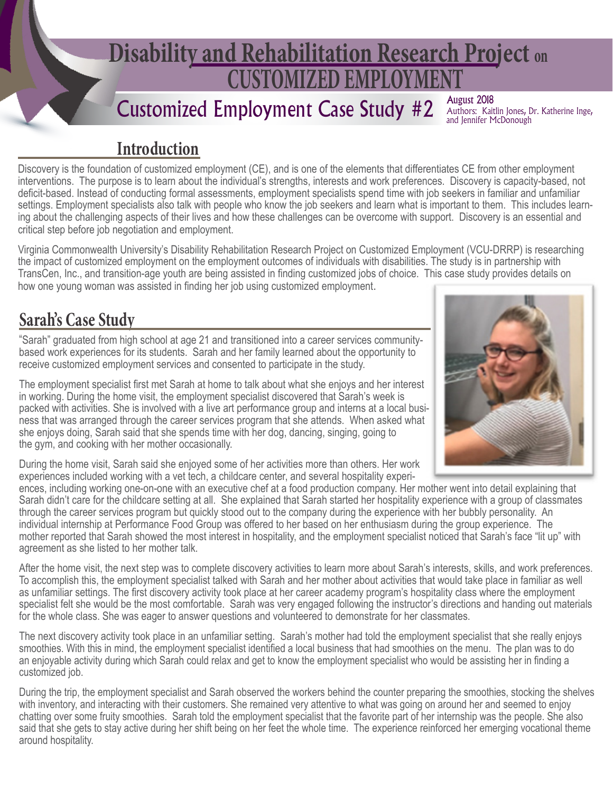# **CUSTOMIZED EMPLOYMENT Disability and Rehabilitation Research Project on**

## Customized Employment Case Study #2

**August 2018**<br>Authors: Kaitlin Jones, Dr. Katherine Inge, and Jennifer McDonough

#### **Introduction**

Discovery is the foundation of customized employment (CE), and is one of the elements that differentiates CE from other employment interventions. The purpose is to learn about the individual's strengths, interests and work preferences. Discovery is capacity-based, not deficit-based. Instead of conducting formal assessments, employment specialists spend time with job seekers in familiar and unfamiliar settings. Employment specialists also talk with people who know the job seekers and learn what is important to them. This includes learning about the challenging aspects of their lives and how these challenges can be overcome with support. Discovery is an essential and critical step before job negotiation and employment.

Virginia Commonwealth University's Disability Rehabilitation Research Project on Customized Employment (VCU-DRRP) is researching the impact of customized employment on the employment outcomes of individuals with disabilities. The study is in partnership with TransCen, Inc., and transition-age youth are being assisted in finding customized jobs of choice. This case study provides details on how one young woman was assisted in finding her job using customized employment.

#### **Sarah's Case Study**

"Sarah" graduated from high school at age 21 and transitioned into a career services communitybased work experiences for its students. Sarah and her family learned about the opportunity to receive customized employment services and consented to participate in the study.

The employment specialist first met Sarah at home to talk about what she enjoys and her interest in working. During the home visit, the employment specialist discovered that Sarah's week is packed with activities. She is involved with a live art performance group and interns at a local business that was arranged through the career services program that she attends. When asked what she enjoys doing, Sarah said that she spends time with her dog, dancing, singing, going to the gym, and cooking with her mother occasionally.



During the home visit, Sarah said she enjoyed some of her activities more than others. Her work experiences included working with a vet tech, a childcare center, and several hospitality experi-

ences, including working one-on-one with an executive chef at a food production company. Her mother went into detail explaining that Sarah didn't care for the childcare setting at all. She explained that Sarah started her hospitality experience with a group of classmates through the career services program but quickly stood out to the company during the experience with her bubbly personality. An individual internship at Performance Food Group was offered to her based on her enthusiasm during the group experience. The mother reported that Sarah showed the most interest in hospitality, and the employment specialist noticed that Sarah's face "lit up" with agreement as she listed to her mother talk.

After the home visit, the next step was to complete discovery activities to learn more about Sarah's interests, skills, and work preferences. To accomplish this, the employment specialist talked with Sarah and her mother about activities that would take place in familiar as well as unfamiliar settings. The first discovery activity took place at her career academy program's hospitality class where the employment specialist felt she would be the most comfortable. Sarah was very engaged following the instructor's directions and handing out materials for the whole class. She was eager to answer questions and volunteered to demonstrate for her classmates.

The next discovery activity took place in an unfamiliar setting. Sarah's mother had told the employment specialist that she really enjoys smoothies. With this in mind, the employment specialist identified a local business that had smoothies on the menu. The plan was to do an enjoyable activity during which Sarah could relax and get to know the employment specialist who would be assisting her in finding a customized job.

During the trip, the employment specialist and Sarah observed the workers behind the counter preparing the smoothies, stocking the shelves with inventory, and interacting with their customers. She remained very attentive to what was going on around her and seemed to enjoy chatting over some fruity smoothies. Sarah told the employment specialist that the favorite part of her internship was the people. She also said that she gets to stay active during her shift being on her feet the whole time. The experience reinforced her emerging vocational theme around hospitality.